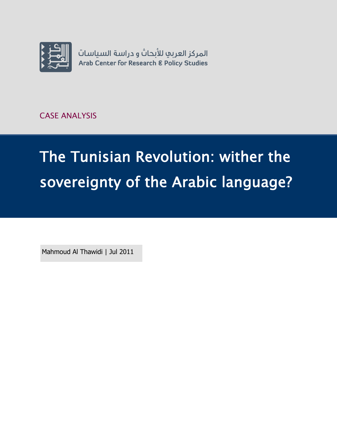

CASE ANALYSIS

# The Tunisian Revolution: wither the sovereignty of the Arabic language?

Mahmoud Al Thawidi | Jul 2011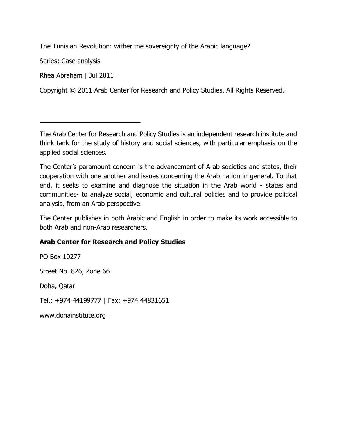The Tunisian Revolution: wither the sovereignty of the Arabic language?

Series: Case analysis

Rhea Abraham | Jul 2011

\_\_\_\_\_\_\_\_\_\_\_\_\_\_\_\_\_\_\_\_\_\_\_\_\_\_\_\_

Copyright © 2011 Arab Center for Research and Policy Studies. All Rights Reserved.

The Arab Center for Research and Policy Studies is an independent research institute and think tank for the study of history and social sciences, with particular emphasis on the applied social sciences.

The Center's paramount concern is the advancement of Arab societies and states, their cooperation with one another and issues concerning the Arab nation in general. To that end, it seeks to examine and diagnose the situation in the Arab world - states and communities- to analyze social, economic and cultural policies and to provide political analysis, from an Arab perspective.

The Center publishes in both Arabic and English in order to make its work accessible to both Arab and non-Arab researchers.

#### **Arab Center for Research and Policy Studies**

PO Box 10277 Street No. 826, Zone 66 Doha, Qatar Tel.: +974 44199777 | Fax: +974 44831651 [www.dohainstitute.org](file:///C:/Users/dena.qaddumi/Desktop/www.dohainstitute.org)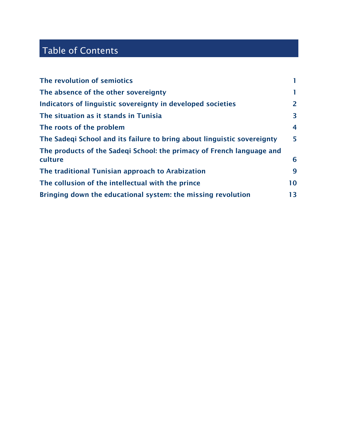## Table of Contents

| The revolution of semiotics                                             |              |
|-------------------------------------------------------------------------|--------------|
| The absence of the other sovereignty                                    | ı.           |
| Indicators of linguistic sovereignty in developed societies             | $\mathbf{2}$ |
| The situation as it stands in Tunisia                                   | 3            |
| The roots of the problem                                                | 4            |
| The Sadegi School and its failure to bring about linguistic sovereignty | 5            |
| The products of the Sadeqi School: the primacy of French language and   |              |
| culture                                                                 | 6            |
| The traditional Tunisian approach to Arabization                        | 9            |
| The collusion of the intellectual with the prince                       | 10           |
| Bringing down the educational system: the missing revolution            | 13           |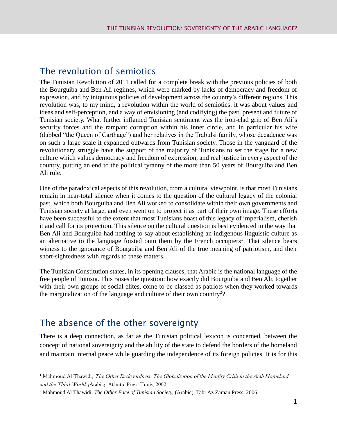#### <span id="page-4-0"></span>The revolution of semiotics

The Tunisian Revolution of 2011 called for a complete break with the previous policies of both the Bourguiba and Ben Ali regimes, which were marked by lacks of democracy and freedom of expression, and by iniquitous policies of development across the country's different regions. This revolution was, to my mind, a revolution within the world of semiotics: it was about values and ideas and self-perception, and a way of envisioning (and codifying) the past, present and future of Tunisian society. What further inflamed Tunisian sentiment was the iron-clad grip of Ben Ali's security forces and the rampant corruption within his inner circle, and in particular his wife (dubbed "the Queen of Carthage") and her relatives in the Trabulsi family, whose decadence was on such a large scale it expanded outwards from Tunisian society. Those in the vanguard of the revolutionary struggle have the support of the majority of Tunisians to set the stage for a new culture which values democracy and freedom of expression, and real justice in every aspect of the country, putting an end to the political tyranny of the more than 50 years of Bourguiba and Ben Ali rule.

One of the paradoxical aspects of this revolution, from a cultural viewpoint, is that most Tunisians remain in near-total silence when it comes to the question of the cultural legacy of the colonial past, which both Bourguiba and Ben Ali worked to consolidate within their own governments and Tunisian society at large, and even went on to project it as part of their own image. These efforts have been successful to the extent that most Tunisians boast of this legacy of imperialism, cherish it and call for its protection. This silence on the cultural question is best evidenced in the way that Ben Ali and Bourguiba had nothing to say about establishing an indigenous linguistic culture as an alternative to the language foisted onto them by the French occupiers<sup>1</sup>. That silence bears witness to the ignorance of Bourguiba and Ben Ali of the true meaning of patriotism, and their short-sightedness with regards to these matters.

The Tunisian Constitution states, in its opening clauses, that Arabic is the national language of the free people of Tunisia. This raises the question: how exactly did Bourguiba and Ben Ali, together with their own groups of social elites, come to be classed as patriots when they worked towards the marginalization of the language and culture of their own country<sup>2</sup>?

#### <span id="page-4-1"></span>The absence of the other sovereignty

 $\overline{a}$ 

There is a deep connection, as far as the Tunisian political lexicon is concerned, between the concept of national sovereignty and the ability of the state to defend the borders of the homeland and maintain internal peace while guarding the independence of its foreign policies. It is for this

<sup>&</sup>lt;sup>1</sup> Mahmoud Al Thawidi, The Other Backwardness: The Globalization of the Identity Crisis in the Arab Homeland and the Third World; (Arabic), Atlantic Press, Tunis, 2002;

<sup>2</sup> Mahmoud Al Thawidi, *The Other Face of Tunisian Society,* (Arabic), Tabr Az Zaman Press, 2006;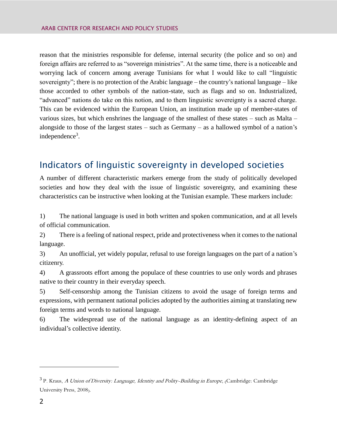reason that the ministries responsible for defense, internal security (the police and so on) and foreign affairs are referred to as "sovereign ministries". At the same time, there is a noticeable and worrying lack of concern among average Tunisians for what I would like to call "linguistic sovereignty"; there is no protection of the Arabic language – the country's national language – like those accorded to other symbols of the nation-state, such as flags and so on. Industrialized, "advanced" nations do take on this notion, and to them linguistic sovereignty is a sacred charge. This can be evidenced within the European Union, an institution made up of member-states of various sizes, but which enshrines the language of the smallest of these states – such as Malta – alongside to those of the largest states – such as Germany – as a hallowed symbol of a nation's independence<sup>3</sup>.

#### <span id="page-5-0"></span>Indicators of linguistic sovereignty in developed societies

A number of different characteristic markers emerge from the study of politically developed societies and how they deal with the issue of linguistic sovereignty, and examining these characteristics can be instructive when looking at the Tunisian example. These markers include:

1) The national language is used in both written and spoken communication, and at all levels of official communication.

2) There is a feeling of national respect, pride and protectiveness when it comes to the national language.

3) An unofficial, yet widely popular, refusal to use foreign languages on the part of a nation's citizenry.

4) A grassroots effort among the populace of these countries to use only words and phrases native to their country in their everyday speech.

5) Self-censorship among the Tunisian citizens to avoid the usage of foreign terms and expressions, with permanent national policies adopted by the authorities aiming at translating new foreign terms and words to national language.

6) The widespread use of the national language as an identity-defining aspect of an individual's collective identity.

<sup>&</sup>lt;sup>3</sup> P. Kraus, *A Union of Diversity: Language, Identity and Polity-Building in Europe*, <sub>(</sub>Cambridge: Cambridge University Press, 2008).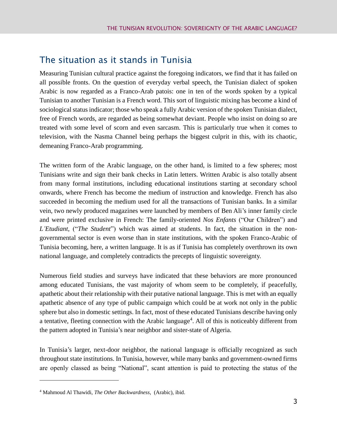#### <span id="page-6-0"></span>The situation as it stands in Tunisia

Measuring Tunisian cultural practice against the foregoing indicators, we find that it has failed on all possible fronts. On the question of everyday verbal speech, the Tunisian dialect of spoken Arabic is now regarded as a Franco-Arab patois: one in ten of the words spoken by a typical Tunisian to another Tunisian is a French word. This sort of linguistic mixing has become a kind of sociological status indicator; those who speak a fully Arabic version of the spoken Tunisian dialect, free of French words, are regarded as being somewhat deviant. People who insist on doing so are treated with some level of scorn and even sarcasm. This is particularly true when it comes to television, with the Nasma Channel being perhaps the biggest culprit in this, with its chaotic, demeaning Franco-Arab programming.

The written form of the Arabic language, on the other hand, is limited to a few spheres; most Tunisians write and sign their bank checks in Latin letters. Written Arabic is also totally absent from many formal institutions, including educational institutions starting at secondary school onwards, where French has become the medium of instruction and knowledge. French has also succeeded in becoming the medium used for all the transactions of Tunisian banks. In a similar vein, two newly produced magazines were launched by members of Ben Ali's inner family circle and were printed exclusive in French: The family-oriented *Nos Enfants* ("Our Children") and *L'Etudiant*, ("*The Student*") which was aimed at students. In fact, the situation in the nongovernmental sector is even worse than in state institutions, with the spoken Franco-Arabic of Tunisia becoming, here, a written language. It is as if Tunisia has completely overthrown its own national language, and completely contradicts the precepts of linguistic sovereignty.

Numerous field studies and surveys have indicated that these behaviors are more pronounced among educated Tunisians, the vast majority of whom seem to be completely, if peacefully, apathetic about their relationship with their putative national language. This is met with an equally apathetic absence of any type of public campaign which could be at work not only in the public sphere but also in domestic settings. In fact, most of these educated Tunisians describe having only a tentative, fleeting connection with the Arabic language<sup>4</sup>. All of this is noticeably different from the pattern adopted in Tunisia's near neighbor and sister-state of Algeria.

In Tunisia's larger, next-door neighbor, the national language is officially recognized as such throughout state institutions. In Tunisia, however, while many banks and government-owned firms are openly classed as being "National", scant attention is paid to protecting the status of the

<sup>4</sup> Mahmoud Al Thawidi, *The Other Backwardness*, (Arabic), ibid.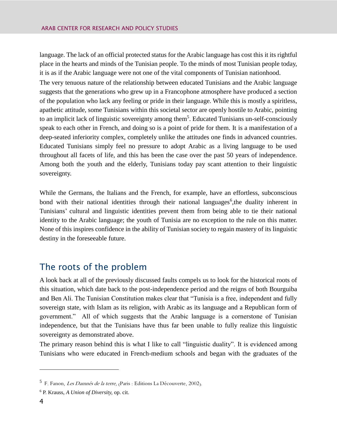language. The lack of an official protected status for the Arabic language has cost this it its rightful place in the hearts and minds of the Tunisian people. To the minds of most Tunisian people today, it is as if the Arabic language were not one of the vital components of Tunisian nationhood.

The very tenuous nature of the relationship between educated Tunisians and the Arabic language suggests that the generations who grew up in a Francophone atmosphere have produced a section of the population who lack any feeling or pride in their language. While this is mostly a spiritless, apathetic attitude, some Tunisians within this societal sector are openly hostile to Arabic, pointing to an implicit lack of linguistic sovereignty among them<sup>5</sup>. Educated Tunisians un-self-consciously speak to each other in French, and doing so is a point of pride for them. It is a manifestation of a deep-seated inferiority complex, completely unlike the attitudes one finds in advanced countries. Educated Tunisians simply feel no pressure to adopt Arabic as a living language to be used throughout all facets of life, and this has been the case over the past 50 years of independence. Among both the youth and the elderly, Tunisians today pay scant attention to their linguistic sovereignty.

While the Germans, the Italians and the French, for example, have an effortless, subconscious bond with their national identities through their national languages<sup>6</sup>, the duality inherent in Tunisians' cultural and linguistic identities prevent them from being able to tie their national identity to the Arabic language; the youth of Tunisia are no exception to the rule on this matter. None of this inspires confidence in the ability of Tunisian society to regain mastery of its linguistic destiny in the foreseeable future.

#### <span id="page-7-0"></span>The roots of the problem

A look back at all of the previously discussed faults compels us to look for the historical roots of this situation, which date back to the post-independence period and the reigns of both Bourguiba and Ben Ali. The Tunisian Constitution makes clear that "Tunisia is a free, independent and fully sovereign state, with Islam as its religion, with Arabic as its language and a Republican form of government." All of which suggests that the Arabic language is a cornerstone of Tunisian independence, but that the Tunisians have thus far been unable to fully realize this linguistic sovereignty as demonstrated above.

The primary reason behind this is what I like to call "linguistic duality". It is evidenced among Tunisians who were educated in French-medium schools and began with the graduates of the

<sup>&</sup>lt;sup>5</sup> F. Fanon, *Les Damnés de la terre*, <sub>(</sub>Paris : Editions La Découverte, 2002).

<sup>6</sup> P. Krauss, *A Union of Diversity,* op. cit.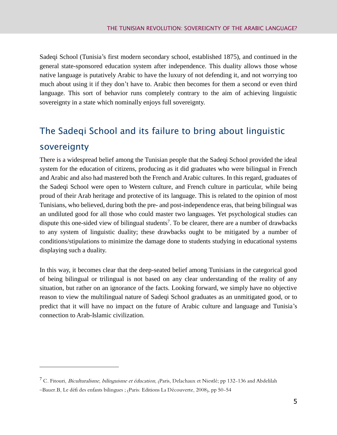Sadeqi School (Tunisia's first modern secondary school, established 1875), and continued in the general state-sponsored education system after independence. This duality allows those whose native language is putatively Arabic to have the luxury of not defending it, and not worrying too much about using it if they don't have to. Arabic then becomes for them a second or even third language. This sort of behavior runs completely contrary to the aim of achieving linguistic sovereignty in a state which nominally enjoys full sovereignty.

## <span id="page-8-0"></span>The Sadeqi School and its failure to bring about linguistic sovereignty

There is a widespread belief among the Tunisian people that the Sadeqi School provided the ideal system for the education of citizens, producing as it did graduates who were bilingual in French and Arabic and also had mastered both the French and Arabic cultures. In this regard, graduates of the Sadeqi School were open to Western culture, and French culture in particular, while being proud of their Arab heritage and protective of its language. This is related to the opinion of most Tunisians, who believed, during both the pre- and post-independence eras, that being bilingual was an undiluted good for all those who could master two languages. Yet psychological studies can dispute this one-sided view of bilingual students<sup>7</sup>. To be clearer, there are a number of drawbacks to any system of linguistic duality; these drawbacks ought to be mitigated by a number of conditions/stipulations to minimize the damage done to students studying in educational systems displaying such a duality.

In this way, it becomes clear that the deep-seated belief among Tunisians in the categorical good of being bilingual or trilingual is not based on any clear understanding of the reality of any situation, but rather on an ignorance of the facts. Looking forward, we simply have no objective reason to view the multilingual nature of Sadeqi School graduates as an unmitigated good, or to predict that it will have no impact on the future of Arabic culture and language and Tunisia's connection to Arab-Islamic civilization.

<sup>&</sup>lt;sup>7</sup> C. Fitouri, *Biculturalisme, bilinguisme et éducation*, (Paris, Delachaux et Niestlé; pp 132-136 and Abdelilah

<sup>–</sup>Bauer.B, Le défi des enfants bilingues ; (Paris: Editions La Découverte, 2008), pp 50-54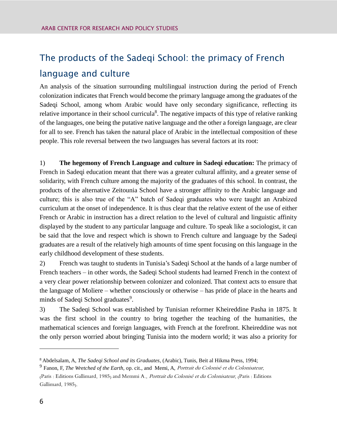## <span id="page-9-0"></span>The products of the Sadeqi School: the primacy of French language and culture

An analysis of the situation surrounding multilingual instruction during the period of French colonization indicates that French would become the primary language among the graduates of the Sadeqi School, among whom Arabic would have only secondary significance, reflecting its relative importance in their school curricula<sup>8</sup>. The negative impacts of this type of relative ranking of the languages, one being the putative native language and the other a foreign language, are clear for all to see. French has taken the natural place of Arabic in the intellectual composition of these people. This role reversal between the two languages has several factors at its root:

1) **The hegemony of French Language and culture in Sadeqi education:** The primacy of French in Sadeqi education meant that there was a greater cultural affinity, and a greater sense of solidarity, with French culture among the majority of the graduates of this school. In contrast, the products of the alternative Zeitounia School have a stronger affinity to the Arabic language and culture; this is also true of the "A" batch of Sadeqi graduates who were taught an Arabized curriculum at the onset of independence. It is thus clear that the relative extent of the use of either French or Arabic in instruction has a direct relation to the level of cultural and linguistic affinity displayed by the student to any particular language and culture. To speak like a sociologist, it can be said that the love and respect which is shown to French culture and language by the Sadeqi graduates are a result of the relatively high amounts of time spent focusing on this language in the early childhood development of these students.

2) French was taught to students in Tunisia's Sadeqi School at the hands of a large number of French teachers – in other words, the Sadeqi School students had learned French in the context of a very clear power relationship between colonizer and colonized. That context acts to ensure that the language of Moliere – whether consciously or otherwise – has pride of place in the hearts and minds of Sadeqi School graduates<sup>9</sup>.

3) The Sadeqi School was established by Tunisian reformer Kheireddine Pasha in 1875. It was the first school in the country to bring together the teaching of the humanities, the mathematical sciences and foreign languages, with French at the forefront. Kheireddine was not the only person worried about bringing Tunisia into the modern world; it was also a priority for

<sup>8</sup> Abdelsalam, A, *The Sadeqi School and its Graduates*, (Arabic), Tunis, Beit al Hikma Press, 1994;

<sup>9</sup> Fanon, F, *The Wretched of the Earth,* op. cit., and Memi, A, Portrait du Colonisé et du Colonisateur,

<sup>(</sup>Paris : Editions Gallimard, 1985) and Memmi A., Portrait du Colonisé et du Colonisateur, (Paris : Editions Gallimard, 1985).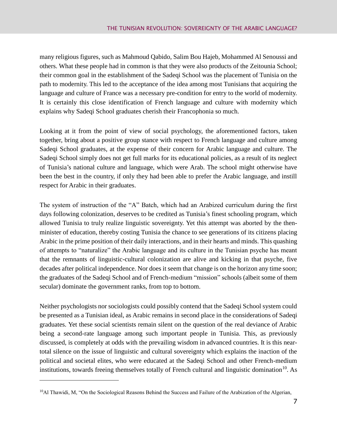many religious figures, such as Mahmoud Qabido, Salim Bou Hajeb, Mohammed Al Senoussi and others. What these people had in common is that they were also products of the Zeitounia School; their common goal in the establishment of the Sadeqi School was the placement of Tunisia on the path to modernity. This led to the acceptance of the idea among most Tunisians that acquiring the language and culture of France was a necessary pre-condition for entry to the world of modernity. It is certainly this close identification of French language and culture with modernity which explains why Sadeqi School graduates cherish their Francophonia so much.

Looking at it from the point of view of social psychology, the aforementioned factors, taken together, bring about a positive group stance with respect to French language and culture among Sadeqi School graduates, at the expense of their concern for Arabic language and culture. The Sadeqi School simply does not get full marks for its educational policies, as a result of its neglect of Tunisia's national culture and language, which were Arab. The school might otherwise have been the best in the country, if only they had been able to prefer the Arabic language, and instill respect for Arabic in their graduates.

The system of instruction of the "A" Batch, which had an Arabized curriculum during the first days following colonization, deserves to be credited as Tunisia's finest schooling program, which allowed Tunisia to truly realize linguistic sovereignty. Yet this attempt was aborted by the thenminister of education, thereby costing Tunisia the chance to see generations of its citizens placing Arabic in the prime position of their daily interactions, and in their hearts and minds. This quashing of attempts to "naturalize" the Arabic language and its culture in the Tunisian psyche has meant that the remnants of linguistic-cultural colonization are alive and kicking in that psyche, five decades after political independence. Nor does it seem that change is on the horizon any time soon; the graduates of the Sadeqi School and of French-medium "mission" schools (albeit some of them secular) dominate the government ranks, from top to bottom.

Neither psychologists nor sociologists could possibly contend that the Sadeqi School system could be presented as a Tunisian ideal, as Arabic remains in second place in the considerations of Sadeqi graduates. Yet these social scientists remain silent on the question of the real deviance of Arabic being a second-rate language among such important people in Tunisia. This, as previously discussed, is completely at odds with the prevailing wisdom in advanced countries. It is this neartotal silence on the issue of linguistic and cultural sovereignty which explains the inaction of the political and societal elites, who were educated at the Sadeqi School and other French-medium institutions, towards freeing themselves totally of French cultural and linguistic domination<sup>10</sup>. As

 $10$ Al Thawidi, M, "On the Sociological Reasons Behind the Success and Failure of the Arabization of the Algerian,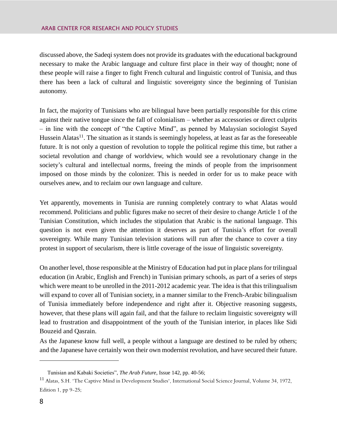discussed above, the Sadeqi system does not provide its graduates with the educational background necessary to make the Arabic language and culture first place in their way of thought; none of these people will raise a finger to fight French cultural and linguistic control of Tunisia, and thus there has been a lack of cultural and linguistic sovereignty since the beginning of Tunisian autonomy.

In fact, the majority of Tunisians who are bilingual have been partially responsible for this crime against their native tongue since the fall of colonialism – whether as accessories or direct culprits – in line with the concept of "the Captive Mind", as penned by Malaysian sociologist Sayed Hussein Alatas<sup>11</sup>. The situation as it stands is seemingly hopeless, at least as far as the foreseeable future. It is not only a question of revolution to topple the political regime this time, but rather a societal revolution and change of worldview, which would see a revolutionary change in the society's cultural and intellectual norms, freeing the minds of people from the imprisonment imposed on those minds by the colonizer. This is needed in order for us to make peace with ourselves anew, and to reclaim our own language and culture.

Yet apparently, movements in Tunisia are running completely contrary to what Alatas would recommend. Politicians and public figures make no secret of their desire to change Article 1 of the Tunisian Constitution, which includes the stipulation that Arabic is the national language. This question is not even given the attention it deserves as part of Tunisia's effort for overall sovereignty. While many Tunisian television stations will run after the chance to cover a tiny protest in support of secularism, there is little coverage of the issue of linguistic sovereignty.

On another level, those responsible at the Ministry of Education had put in place plans for trilingual education (in Arabic, English and French) in Tunisian primary schools, as part of a series of steps which were meant to be unrolled in the 2011-2012 academic year. The idea is that this trilingualism will expand to cover all of Tunisian society, in a manner similar to the French-Arabic bilingualism of Tunisia immediately before independence and right after it. Objective reasoning suggests, however, that these plans will again fail, and that the failure to reclaim linguistic sovereignty will lead to frustration and disappointment of the youth of the Tunisian interior, in places like Sidi Bouzeid and Qasrain.

As the Japanese know full well, a people without a language are destined to be ruled by others; and the Japanese have certainly won their own modernist revolution, and have secured their future.

Tunisian and Kabaki Societies", *The Arab Future*, Issue 142, pp. 40-56;

<sup>11</sup> Alatas, S.H. "The Captive Mind in Development Studies", International Social Science Journal**,** Volume 34, 1972, Edition 1, pp 9-25;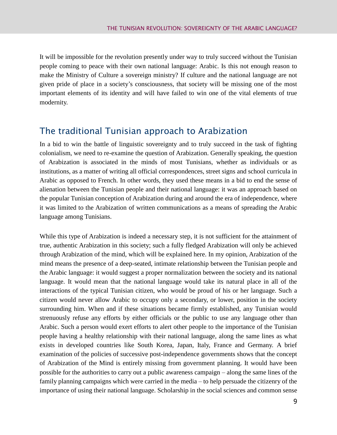It will be impossible for the revolution presently under way to truly succeed without the Tunisian people coming to peace with their own national language: Arabic. Is this not enough reason to make the Ministry of Culture a sovereign ministry? If culture and the national language are not given pride of place in a society's consciousness, that society will be missing one of the most important elements of its identity and will have failed to win one of the vital elements of true modernity.

#### <span id="page-12-0"></span>The traditional Tunisian approach to Arabization

In a bid to win the battle of linguistic sovereignty and to truly succeed in the task of fighting colonialism, we need to re-examine the question of Arabization. Generally speaking, the question of Arabization is associated in the minds of most Tunisians, whether as individuals or as institutions, as a matter of writing all official correspondences, street signs and school curricula in Arabic as opposed to French. In other words, they used these means in a bid to end the sense of alienation between the Tunisian people and their national language: it was an approach based on the popular Tunisian conception of Arabization during and around the era of independence, where it was limited to the Arabization of written communications as a means of spreading the Arabic language among Tunisians.

While this type of Arabization is indeed a necessary step, it is not sufficient for the attainment of true, authentic Arabization in this society; such a fully fledged Arabization will only be achieved through Arabization of the mind, which will be explained here. In my opinion, Arabization of the mind means the presence of a deep-seated, intimate relationship between the Tunisian people and the Arabic language: it would suggest a proper normalization between the society and its national language. It would mean that the national language would take its natural place in all of the interactions of the typical Tunisian citizen, who would be proud of his or her language. Such a citizen would never allow Arabic to occupy only a secondary, or lower, position in the society surrounding him. When and if these situations became firmly established, any Tunisian would strenuously refuse any efforts by either officials or the public to use any language other than Arabic. Such a person would exert efforts to alert other people to the importance of the Tunisian people having a healthy relationship with their national language, along the same lines as what exists in developed countries like South Korea, Japan, Italy, France and Germany. A brief examination of the policies of successive post-independence governments shows that the concept of Arabization of the Mind is entirely missing from government planning. It would have been possible for the authorities to carry out a public awareness campaign – along the same lines of the family planning campaigns which were carried in the media – to help persuade the citizenry of the importance of using their national language. Scholarship in the social sciences and common sense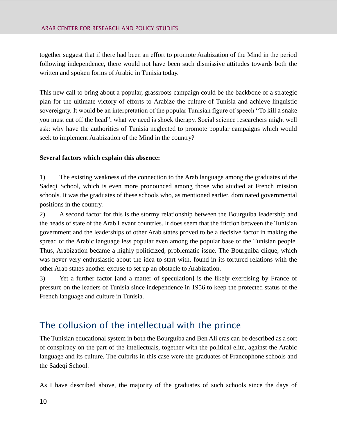together suggest that if there had been an effort to promote Arabization of the Mind in the period following independence, there would not have been such dismissive attitudes towards both the written and spoken forms of Arabic in Tunisia today.

This new call to bring about a popular, grassroots campaign could be the backbone of a strategic plan for the ultimate victory of efforts to Arabize the culture of Tunisia and achieve linguistic sovereignty. It would be an interpretation of the popular Tunisian figure of speech "To kill a snake you must cut off the head"; what we need is shock therapy. Social science researchers might well ask: why have the authorities of Tunisia neglected to promote popular campaigns which would seek to implement Arabization of the Mind in the country?

#### **Several factors which explain this absence:**

1) The existing weakness of the connection to the Arab language among the graduates of the Sadeqi School, which is even more pronounced among those who studied at French mission schools. It was the graduates of these schools who, as mentioned earlier, dominated governmental positions in the country.

2) A second factor for this is the stormy relationship between the Bourguiba leadership and the heads of state of the Arab Levant countries. It does seem that the friction between the Tunisian government and the leaderships of other Arab states proved to be a decisive factor in making the spread of the Arabic language less popular even among the popular base of the Tunisian people. Thus, Arabization became a highly politicized, problematic issue. The Bourguiba clique, which was never very enthusiastic about the idea to start with, found in its tortured relations with the other Arab states another excuse to set up an obstacle to Arabization.

3) Yet a further factor [and a matter of speculation] is the likely exercising by France of pressure on the leaders of Tunisia since independence in 1956 to keep the protected status of the French language and culture in Tunisia.

### <span id="page-13-0"></span>The collusion of the intellectual with the prince

The Tunisian educational system in both the Bourguiba and Ben Ali eras can be described as a sort of conspiracy on the part of the intellectuals, together with the political elite, against the Arabic language and its culture. The culprits in this case were the graduates of Francophone schools and the Sadeqi School.

As I have described above, the majority of the graduates of such schools since the days of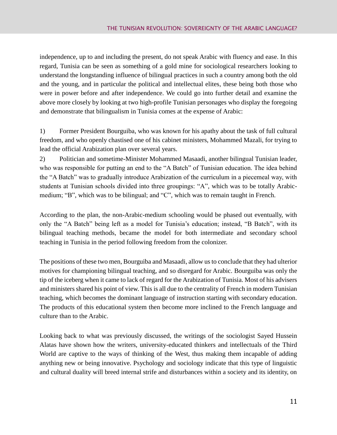independence, up to and including the present, do not speak Arabic with fluency and ease. In this regard, Tunisia can be seen as something of a gold mine for sociological researchers looking to understand the longstanding influence of bilingual practices in such a country among both the old and the young, and in particular the political and intellectual elites, these being both those who were in power before and after independence. We could go into further detail and examine the above more closely by looking at two high-profile Tunisian personages who display the foregoing and demonstrate that bilingualism in Tunisia comes at the expense of Arabic:

1) Former President Bourguiba, who was known for his apathy about the task of full cultural freedom, and who openly chastised one of his cabinet ministers, Mohammed Mazali, for trying to lead the official Arabization plan over several years.

2) Politician and sometime-Minister Mohammed Masaadi, another bilingual Tunisian leader, who was responsible for putting an end to the "A Batch" of Tunisian education. The idea behind the "A Batch" was to gradually introduce Arabization of the curriculum in a piecemeal way, with students at Tunisian schools divided into three groupings: "A", which was to be totally Arabicmedium; "B", which was to be bilingual; and "C", which was to remain taught in French.

According to the plan, the non-Arabic-medium schooling would be phased out eventually, with only the "A Batch" being left as a model for Tunisia's education; instead, "B Batch", with its bilingual teaching methods, became the model for both intermediate and secondary school teaching in Tunisia in the period following freedom from the colonizer.

The positions of these two men, Bourguiba and Masaadi, allow us to conclude that they had ulterior motives for championing bilingual teaching, and so disregard for Arabic. Bourguiba was only the tip of the iceberg when it came to lack of regard for the Arabization of Tunisia. Most of his advisers and ministers shared his point of view. This is all due to the centrality of French in modern Tunisian teaching, which becomes the dominant language of instruction starting with secondary education. The products of this educational system then become more inclined to the French language and culture than to the Arabic.

Looking back to what was previously discussed, the writings of the sociologist Sayed Hussein Alatas have shown how the writers, university-educated thinkers and intellectuals of the Third World are captive to the ways of thinking of the West, thus making them incapable of adding anything new or being innovative. Psychology and sociology indicate that this type of linguistic and cultural duality will breed internal strife and disturbances within a society and its identity, on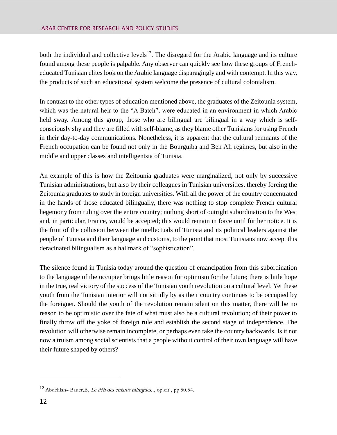both the individual and collective levels<sup>12</sup>. The disregard for the Arabic language and its culture found among these people is palpable. Any observer can quickly see how these groups of Frencheducated Tunisian elites look on the Arabic language disparagingly and with contempt. In this way, the products of such an educational system welcome the presence of cultural colonialism.

In contrast to the other types of education mentioned above, the graduates of the Zeitounia system, which was the natural heir to the "A Batch", were educated in an environment in which Arabic held sway. Among this group, those who are bilingual are bilingual in a way which is selfconsciously shy and they are filled with self-blame, as they blame other Tunisians for using French in their day-to-day communications. Nonetheless, it is apparent that the cultural remnants of the French occupation can be found not only in the Bourguiba and Ben Ali regimes, but also in the middle and upper classes and intelligentsia of Tunisia.

An example of this is how the Zeitounia graduates were marginalized, not only by successive Tunisian administrations, but also by their colleagues in Tunisian universities, thereby forcing the Zeitounia graduates to study in foreign universities. With all the power of the country concentrated in the hands of those educated bilingually, there was nothing to stop complete French cultural hegemony from ruling over the entire country; nothing short of outright subordination to the West and, in particular, France, would be accepted; this would remain in force until further notice. It is the fruit of the collusion between the intellectuals of Tunisia and its political leaders against the people of Tunisia and their language and customs, to the point that most Tunisians now accept this deracinated bilingualism as a hallmark of "sophistication".

The silence found in Tunisia today around the question of emancipation from this subordination to the language of the occupier brings little reason for optimism for the future; there is little hope in the true, real victory of the success of the Tunisian youth revolution on a cultural level. Yet these youth from the Tunisian interior will not sit idly by as their country continues to be occupied by the foreigner. Should the youth of the revolution remain silent on this matter, there will be no reason to be optimistic over the fate of what must also be a cultural revolution; of their power to finally throw off the yoke of foreign rule and establish the second stage of independence. The revolution will otherwise remain incomplete, or perhaps even take the country backwards. Is it not now a truism among social scientists that a people without control of their own language will have their future shaped by others?

<sup>12</sup> Abdelilah- Bauer.B, Le défi des enfants bilingues.., op.cit., pp 50.54.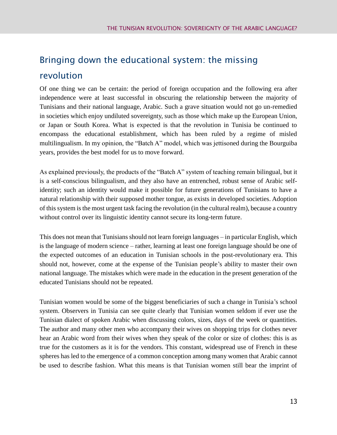## <span id="page-16-0"></span>Bringing down the educational system: the missing revolution

Of one thing we can be certain: the period of foreign occupation and the following era after independence were at least successful in obscuring the relationship between the majority of Tunisians and their national language, Arabic. Such a grave situation would not go un-remedied in societies which enjoy undiluted sovereignty, such as those which make up the European Union, or Japan or South Korea. What is expected is that the revolution in Tunisia be continued to encompass the educational establishment, which has been ruled by a regime of misled multilingualism. In my opinion, the "Batch A" model, which was jettisoned during the Bourguiba years, provides the best model for us to move forward.

As explained previously, the products of the "Batch A" system of teaching remain bilingual, but it is a self-conscious bilingualism, and they also have an entrenched, robust sense of Arabic selfidentity; such an identity would make it possible for future generations of Tunisians to have a natural relationship with their supposed mother tongue, as exists in developed societies. Adoption of this system is the most urgent task facing the revolution (in the cultural realm), because a country without control over its linguistic identity cannot secure its long-term future.

This does not mean that Tunisians should not learn foreign languages – in particular English, which is the language of modern science – rather, learning at least one foreign language should be one of the expected outcomes of an education in Tunisian schools in the post-revolutionary era. This should not, however, come at the expense of the Tunisian people's ability to master their own national language. The mistakes which were made in the education in the present generation of the educated Tunisians should not be repeated.

Tunisian women would be some of the biggest beneficiaries of such a change in Tunisia's school system. Observers in Tunisia can see quite clearly that Tunisian women seldom if ever use the Tunisian dialect of spoken Arabic when discussing colors, sizes, days of the week or quantities. The author and many other men who accompany their wives on shopping trips for clothes never hear an Arabic word from their wives when they speak of the color or size of clothes: this is as true for the customers as it is for the vendors. This constant, widespread use of French in these spheres has led to the emergence of a common conception among many women that Arabic cannot be used to describe fashion. What this means is that Tunisian women still bear the imprint of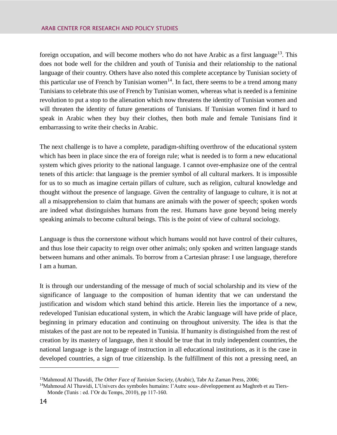foreign occupation, and will become mothers who do not have Arabic as a first language<sup>13</sup>. This does not bode well for the children and youth of Tunisia and their relationship to the national language of their country. Others have also noted this complete acceptance by Tunisian society of this particular use of French by Tunisian women<sup>14</sup>. In fact, there seems to be a trend among many Tunisians to celebrate this use of French by Tunisian women, whereas what is needed is a feminine revolution to put a stop to the alienation which now threatens the identity of Tunisian women and will threaten the identity of future generations of Tunisians. If Tunisian women find it hard to speak in Arabic when they buy their clothes, then both male and female Tunisians find it embarrassing to write their checks in Arabic.

The next challenge is to have a complete, paradigm-shifting overthrow of the educational system which has been in place since the era of foreign rule; what is needed is to form a new educational system which gives priority to the national language. I cannot over-emphasize one of the central tenets of this article: that language is the premier symbol of all cultural markers. It is impossible for us to so much as imagine certain pillars of culture, such as religion, cultural knowledge and thought without the presence of language. Given the centrality of language to culture, it is not at all a misapprehension to claim that humans are animals with the power of speech; spoken words are indeed what distinguishes humans from the rest. Humans have gone beyond being merely speaking animals to become cultural beings. This is the point of view of cultural sociology.

Language is thus the cornerstone without which humans would not have control of their cultures, and thus lose their capacity to reign over other animals; only spoken and written language stands between humans and other animals. To borrow from a Cartesian phrase: I use language, therefore I am a human.

It is through our understanding of the message of much of social scholarship and its view of the significance of language to the composition of human identity that we can understand the justification and wisdom which stand behind this article. Herein lies the importance of a new, redeveloped Tunisian educational system, in which the Arabic language will have pride of place, beginning in primary education and continuing on throughout university. The idea is that the mistakes of the past are not to be repeated in Tunisia. If humanity is distinguished from the rest of creation by its mastery of language, then it should be true that in truly independent countries, the national language is the language of instruction in all educational institutions, as it is the case in developed countries, a sign of true citizenship. Is the fulfillment of this not a pressing need, an

<sup>13</sup>Mahmoud Al Thawidi, *The Other Face of Tunisian Society,* (Arabic), Tabr Az Zaman Press, 2006;

<sup>14</sup>Mahmoud Al Thawidi, L'Univers des symboles humains: l'Autre sous-.développement au Maghreb et au Tiers-Monde (Tunis : ed. l'Or du Temps, 2010), pp 117-160.